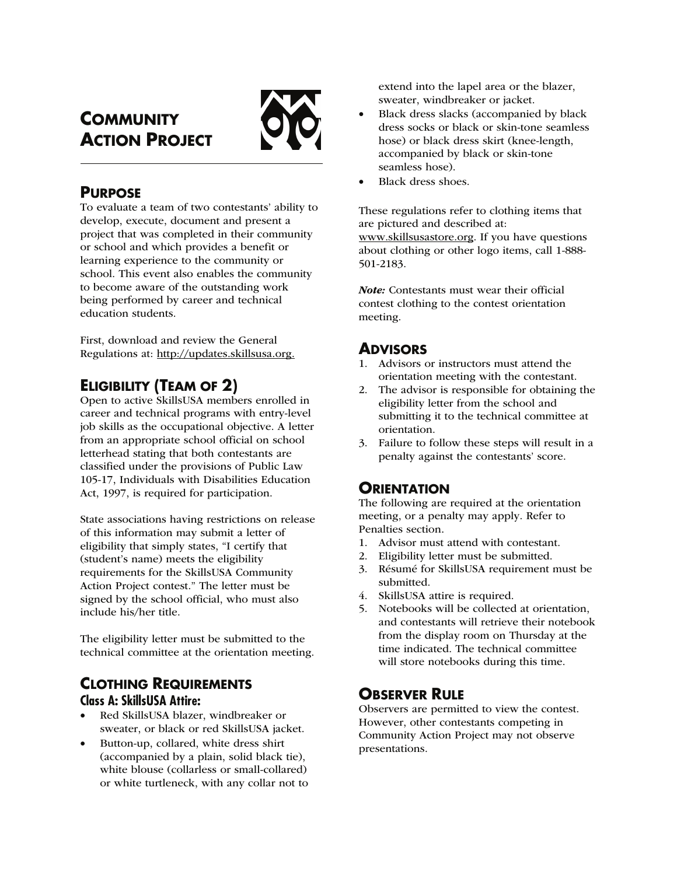# **COMMUNITY ACTION PROJECT**



## **PURPOSE**

To evaluate a team of two contestants' ability to develop, execute, document and present a project that was completed in their community or school and which provides a benefit or learning experience to the community or school. This event also enables the community to become aware of the outstanding work being performed by career and technical education students.

First, download and review the General Regulations at: http://updates.skillsusa.org.

## **ELIGIBILITY (TEAM OF 2)**

Open to active SkillsUSA members enrolled in career and technical programs with entry-level job skills as the occupational objective. A letter from an appropriate school official on school letterhead stating that both contestants are classified under the provisions of Public Law 105-17, Individuals with Disabilities Education Act, 1997, is required for participation.

State associations having restrictions on release of this information may submit a letter of eligibility that simply states, "I certify that (student's name) meets the eligibility requirements for the SkillsUSA Community Action Project contest." The letter must be signed by the school official, who must also include his/her title.

The eligibility letter must be submitted to the technical committee at the orientation meeting.

## **CLOTHING REQUIREMENTS Class A: SkillsUSA Attire:**

- Red SkillsUSA blazer, windbreaker or sweater, or black or red SkillsUSA jacket.
- Button-up, collared, white dress shirt (accompanied by a plain, solid black tie), white blouse (collarless or small-collared) or white turtleneck, with any collar not to

extend into the lapel area or the blazer, sweater, windbreaker or jacket.

- Black dress slacks (accompanied by black dress socks or black or skin-tone seamless hose) or black dress skirt (knee-length, accompanied by black or skin-tone seamless hose).
- Black dress shoes.

These regulations refer to clothing items that are pictured and described at: www.skillsusastore.org. If you have questions about clothing or other logo items, call 1-888- 501-2183.

Note: Contestants must wear their official contest clothing to the contest orientation meeting.

## **ADVISORS**

- 1. Advisors or instructors must attend the orientation meeting with the contestant.
- 2. The advisor is responsible for obtaining the eligibility letter from the school and submitting it to the technical committee at orientation.
- 3. Failure to follow these steps will result in a penalty against the contestants' score.

## **ORIENTATION**

The following are required at the orientation meeting, or a penalty may apply. Refer to Penalties section.

- 1. Advisor must attend with contestant.
- 2. Eligibility letter must be submitted.
- 3. Résumé for SkillsUSA requirement must be submitted.
- 4. SkillsUSA attire is required.
- 5. Notebooks will be collected at orientation, and contestants will retrieve their notebook from the display room on Thursday at the time indicated. The technical committee will store notebooks during this time.

## **OBSERVER RULE**

Observers are permitted to view the contest. However, other contestants competing in Community Action Project may not observe presentations.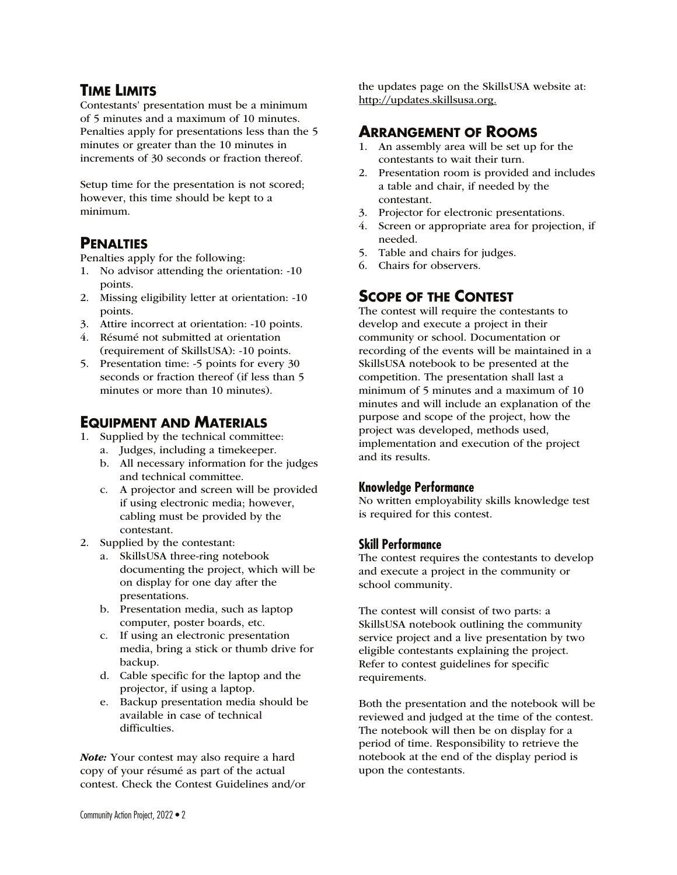### **TIME LIMITS**

Contestants' presentation must be a minimum of 5 minutes and a maximum of 10 minutes. Penalties apply for presentations less than the 5 minutes or greater than the 10 minutes in increments of 30 seconds or fraction thereof.

Setup time for the presentation is not scored; however, this time should be kept to a minimum.

### **PENALTIES**

Penalties apply for the following:

- 1. No advisor attending the orientation: -10 points.
- 2. Missing eligibility letter at orientation: -10 points.
- 3. Attire incorrect at orientation: -10 points.
- 4. Résumé not submitted at orientation (requirement of SkillsUSA): -10 points.
- 5. Presentation time: -5 points for every 30 seconds or fraction thereof (if less than 5 minutes or more than 10 minutes).

### **EQUIPMENT AND MATERIALS**

- 1. Supplied by the technical committee:
	- a. Judges, including a timekeeper.
		- b. All necessary information for the judges and technical committee.
		- c. A projector and screen will be provided if using electronic media; however, cabling must be provided by the contestant.
- 2. Supplied by the contestant:
	- a. SkillsUSA three-ring notebook documenting the project, which will be on display for one day after the presentations.
	- b. Presentation media, such as laptop computer, poster boards, etc.
	- c. If using an electronic presentation media, bring a stick or thumb drive for backup.
	- d. Cable specific for the laptop and the projector, if using a laptop.
	- e. Backup presentation media should be available in case of technical difficulties.

Note: Your contest may also require a hard copy of your résumé as part of the actual contest. Check the Contest Guidelines and/or the updates page on the SkillsUSA website at: http://updates.skillsusa.org.

### **ARRANGEMENT OF ROOMS**

- 1. An assembly area will be set up for the contestants to wait their turn.
- 2. Presentation room is provided and includes a table and chair, if needed by the contestant.
- 3. Projector for electronic presentations.
- 4. Screen or appropriate area for projection, if needed.
- 5. Table and chairs for judges.
- 6. Chairs for observers.

## **SCOPE OF THE CONTEST**

The contest will require the contestants to develop and execute a project in their community or school. Documentation or recording of the events will be maintained in a SkillsUSA notebook to be presented at the competition. The presentation shall last a minimum of 5 minutes and a maximum of 10 minutes and will include an explanation of the purpose and scope of the project, how the project was developed, methods used, implementation and execution of the project and its results.

### **Knowledge Performance**

No written employability skills knowledge test is required for this contest.

#### **Skill Performance**

The contest requires the contestants to develop and execute a project in the community or school community.

The contest will consist of two parts: a SkillsUSA notebook outlining the community service project and a live presentation by two eligible contestants explaining the project. Refer to contest guidelines for specific requirements.

Both the presentation and the notebook will be reviewed and judged at the time of the contest. The notebook will then be on display for a period of time. Responsibility to retrieve the notebook at the end of the display period is upon the contestants.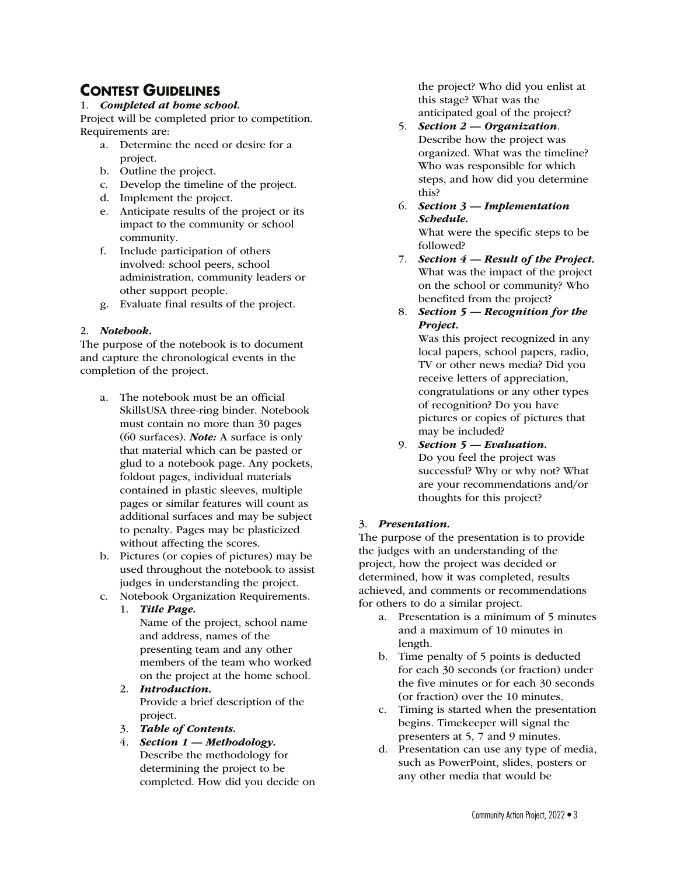## **CONTEST GUIDELINES**

#### 1. Completed at home school.

Project will be completed prior to competition. Requirements are:

- a. Determine the need or desire for a project.
- b. Outline the project.
- c. Develop the timeline of the project.
- d. Implement the project.
- e. Anticipate results of the project or its impact to the community or school community.
- f. Include participation of others involved: school peers, school administration, community leaders or other support people.
- g. Evaluate final results of the project.

#### 2. Notebook.

The purpose of the notebook is to document and capture the chronological events in the completion of the project.

- a. The notebook must be an official SkillsUSA three-ring binder. Notebook must contain no more than 30 pages (60 surfaces). Note: A surface is only that material which can be pasted or glud to a notebook page. Any pockets, foldout pages, individual materials contained in plastic sleeves, multiple pages or similar features will count as additional surfaces and may be subject to penalty. Pages may be plasticized without affecting the scores.
- b. Pictures (or copies of pictures) may be used throughout the notebook to assist judges in understanding the project.
- c. Notebook Organization Requirements.

#### 1. Title Page.

- Name of the project, school name and address, names of the presenting team and any other members of the team who worked on the project at the home school.
- 2. Introduction. Provide a brief description of the project.
- 3. Table of Contents.
- 4. Section  $1$  Methodology. Describe the methodology for determining the project to be completed. How did you decide on

the project? Who did you enlist at this stage? What was the anticipated goal of the project?

- 5. Section 2 Organization. Describe how the project was organized. What was the timeline? Who was responsible for which steps, and how did you determine this?
- 6. Section 3 Implementation Schedule. What were the specific steps to be followed?
- 7. Section  $4$  Result of the Project. What was the impact of the project on the school or community? Who benefited from the project?
- 8. Section  $5 -$  Recognition for the Project.

Was this project recognized in any local papers, school papers, radio, TV or other news media? Did you receive letters of appreciation, congratulations or any other types of recognition? Do you have pictures or copies of pictures that may be included?

9. Section 5 — Evaluation. Do you feel the project was successful? Why or why not? What are your recommendations and/or thoughts for this project?

#### 3. Presentation.

The purpose of the presentation is to provide the judges with an understanding of the project, how the project was decided or determined, how it was completed, results achieved, and comments or recommendations for others to do a similar project.

- a. Presentation is a minimum of 5 minutes and a maximum of 10 minutes in length.
- b. Time penalty of 5 points is deducted for each 30 seconds (or fraction) under the five minutes or for each 30 seconds (or fraction) over the 10 minutes.
- c. Timing is started when the presentation begins. Timekeeper will signal the presenters at 5, 7 and 9 minutes.
- d. Presentation can use any type of media, such as PowerPoint, slides, posters or any other media that would be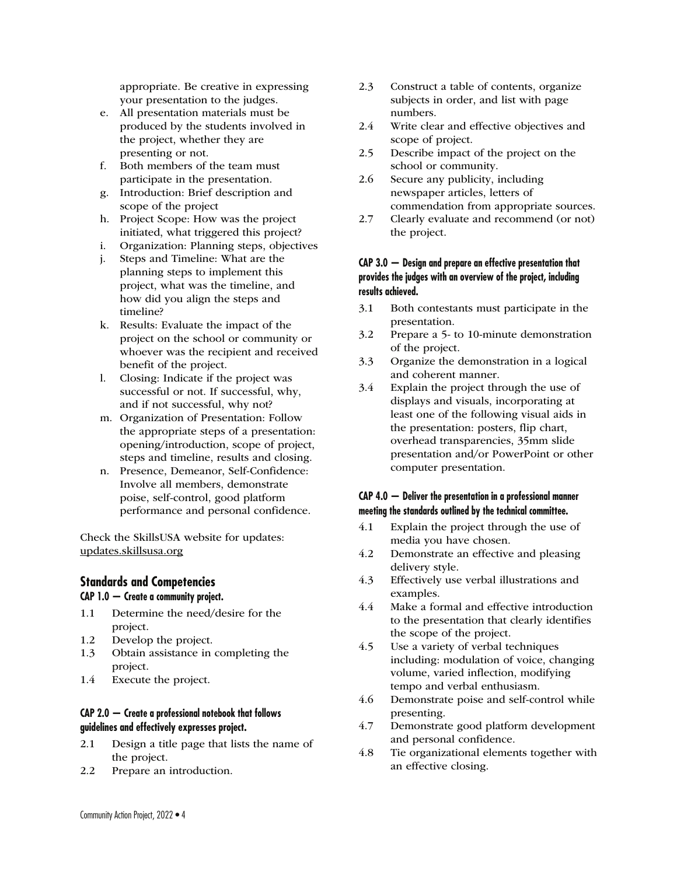appropriate. Be creative in expressing your presentation to the judges.

- e. All presentation materials must be produced by the students involved in the project, whether they are presenting or not.
- f. Both members of the team must participate in the presentation.
- g. Introduction: Brief description and scope of the project
- h. Project Scope: How was the project initiated, what triggered this project?
- i. Organization: Planning steps, objectives
- j. Steps and Timeline: What are the planning steps to implement this project, what was the timeline, and how did you align the steps and timeline?
- k. Results: Evaluate the impact of the project on the school or community or whoever was the recipient and received benefit of the project.
- l. Closing: Indicate if the project was successful or not. If successful, why, and if not successful, why not?
- m. Organization of Presentation: Follow the appropriate steps of a presentation: opening/introduction, scope of project, steps and timeline, results and closing.
- n. Presence, Demeanor, Self-Confidence: Involve all members, demonstrate poise, self-control, good platform performance and personal confidence.

Check the SkillsUSA website for updates: updates.skillsusa.org

#### **Standards and Competencies**

#### **CAP 1.0 — Create a community project.**

- 1.1 Determine the need/desire for the project.
- 1.2 Develop the project.
- 1.3 Obtain assistance in completing the project.
- 1.4 Execute the project.

#### **CAP 2.0 — Create a professional notebook that follows guidelines and effectively expresses project.**

- 2.1 Design a title page that lists the name of the project.
- 2.2 Prepare an introduction.
- 2.3 Construct a table of contents, organize subjects in order, and list with page numbers.
- 2.4 Write clear and effective objectives and scope of project.
- 2.5 Describe impact of the project on the school or community.
- 2.6 Secure any publicity, including newspaper articles, letters of commendation from appropriate sources.
- 2.7 Clearly evaluate and recommend (or not) the project.

#### **CAP 3.0 — Design and prepare an effective presentation that provides the judges with an overview of the project, including results achieved.**

- 3.1 Both contestants must participate in the presentation.
- 3.2 Prepare a 5- to 10-minute demonstration of the project.
- 3.3 Organize the demonstration in a logical and coherent manner.
- 3.4 Explain the project through the use of displays and visuals, incorporating at least one of the following visual aids in the presentation: posters, flip chart, overhead transparencies, 35mm slide presentation and/or PowerPoint or other computer presentation.

#### **CAP 4.0 — Deliver the presentation in a professional manner meeting the standards outlined by the technical committee.**

- 4.1 Explain the project through the use of media you have chosen.
- 4.2 Demonstrate an effective and pleasing delivery style.
- 4.3 Effectively use verbal illustrations and examples.
- 4.4 Make a formal and effective introduction to the presentation that clearly identifies the scope of the project.
- 4.5 Use a variety of verbal techniques including: modulation of voice, changing volume, varied inflection, modifying tempo and verbal enthusiasm.
- 4.6 Demonstrate poise and self-control while presenting.
- 4.7 Demonstrate good platform development and personal confidence.
- 4.8 Tie organizational elements together with an effective closing.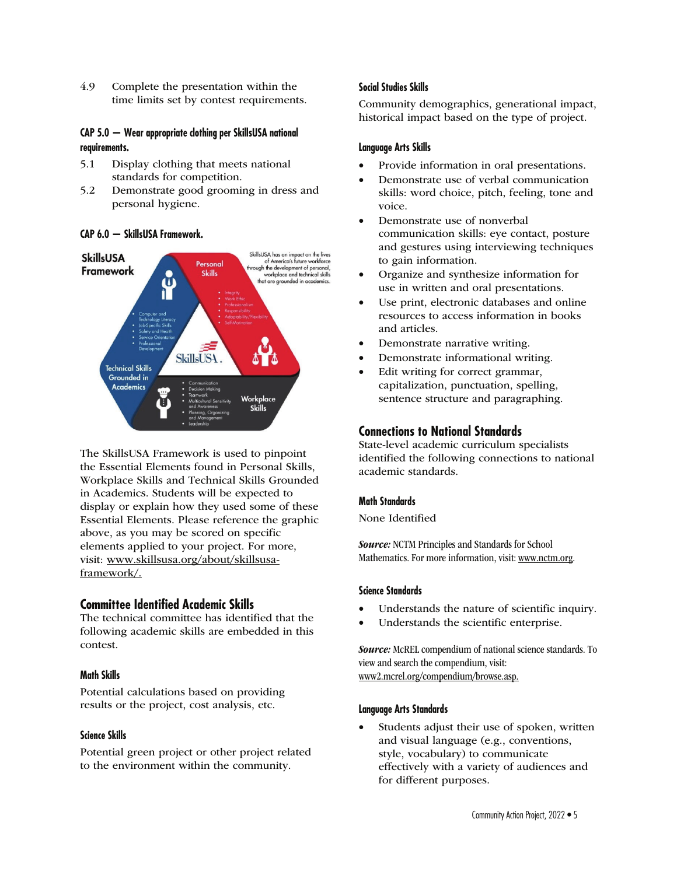4.9 Complete the presentation within the time limits set by contest requirements.

#### **CAP 5.0 — Wear appropriate clothing per SkillsUSA national requirements.**

- 5.1 Display clothing that meets national standards for competition.
- 5.2 Demonstrate good grooming in dress and personal hygiene.

#### **CAP 6.0 — SkillsUSA Framework.**



The SkillsUSA Framework is used to pinpoint the Essential Elements found in Personal Skills, Workplace Skills and Technical Skills Grounded in Academics. Students will be expected to display or explain how they used some of these Essential Elements. Please reference the graphic above, as you may be scored on specific elements applied to your project. For more, visit: www.skillsusa.org/about/skillsusaframework/.

#### **Committee Identified Academic Skills**

The technical committee has identified that the following academic skills are embedded in this contest.

#### **Math Skills**

Potential calculations based on providing results or the project, cost analysis, etc.

#### **Science Skills**

Potential green project or other project related to the environment within the community.

#### **Social Studies Skills**

Community demographics, generational impact, historical impact based on the type of project.

#### **Language Arts Skills**

- Provide information in oral presentations.
- Demonstrate use of verbal communication skills: word choice, pitch, feeling, tone and voice.
- Demonstrate use of nonverbal communication skills: eye contact, posture and gestures using interviewing techniques to gain information.
- Organize and synthesize information for use in written and oral presentations.
- Use print, electronic databases and online resources to access information in books and articles.
- Demonstrate narrative writing.
- Demonstrate informational writing.
- Edit writing for correct grammar, capitalization, punctuation, spelling, sentence structure and paragraphing.

#### **Connections to National Standards**

State-level academic curriculum specialists identified the following connections to national academic standards.

#### **Math Standards**

None Identified

**Source:** NCTM Principles and Standards for School Mathematics. For more information, visit: www.nctm.org.

#### **Science Standards**

- Understands the nature of scientific inquiry.
- Understands the scientific enterprise.

Source: McREL compendium of national science standards. To view and search the compendium, visit: www2.mcrel.org/compendium/browse.asp.

#### **Language Arts Standards**

Students adjust their use of spoken, written and visual language (e.g., conventions, style, vocabulary) to communicate effectively with a variety of audiences and for different purposes.